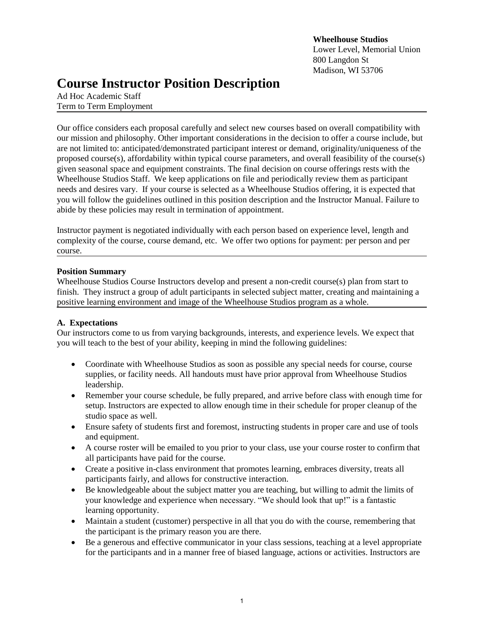**Wheelhouse Studios** Lower Level, Memorial Union 800 Langdon St Madison, WI 53706

# **Course Instructor Position Description**

Ad Hoc Academic Staff Term to Term Employment

Our office considers each proposal carefully and select new courses based on overall compatibility with our mission and philosophy. Other important considerations in the decision to offer a course include, but are not limited to: anticipated/demonstrated participant interest or demand, originality/uniqueness of the proposed course(s), affordability within typical course parameters, and overall feasibility of the course(s) given seasonal space and equipment constraints. The final decision on course offerings rests with the Wheelhouse Studios Staff. We keep applications on file and periodically review them as participant needs and desires vary. If your course is selected as a Wheelhouse Studios offering, it is expected that you will follow the guidelines outlined in this position description and the Instructor Manual. Failure to abide by these policies may result in termination of appointment.

Instructor payment is negotiated individually with each person based on experience level, length and complexity of the course, course demand, etc. We offer two options for payment: per person and per course.

### **Position Summary**

Wheelhouse Studios Course Instructors develop and present a non-credit course(s) plan from start to finish. They instruct a group of adult participants in selected subject matter, creating and maintaining a positive learning environment and image of the Wheelhouse Studios program as a whole.

#### **A. Expectations**

Our instructors come to us from varying backgrounds, interests, and experience levels. We expect that you will teach to the best of your ability, keeping in mind the following guidelines:

- Coordinate with Wheelhouse Studios as soon as possible any special needs for course, course supplies, or facility needs. All handouts must have prior approval from Wheelhouse Studios leadership.
- Remember your course schedule, be fully prepared, and arrive before class with enough time for setup. Instructors are expected to allow enough time in their schedule for proper cleanup of the studio space as well.
- Ensure safety of students first and foremost, instructing students in proper care and use of tools and equipment.
- A course roster will be emailed to you prior to your class, use your course roster to confirm that all participants have paid for the course.
- Create a positive in-class environment that promotes learning, embraces diversity, treats all participants fairly, and allows for constructive interaction.
- Be knowledgeable about the subject matter you are teaching, but willing to admit the limits of your knowledge and experience when necessary. "We should look that up!" is a fantastic learning opportunity.
- Maintain a student (customer) perspective in all that you do with the course, remembering that the participant is the primary reason you are there.
- Be a generous and effective communicator in your class sessions, teaching at a level appropriate for the participants and in a manner free of biased language, actions or activities. Instructors are